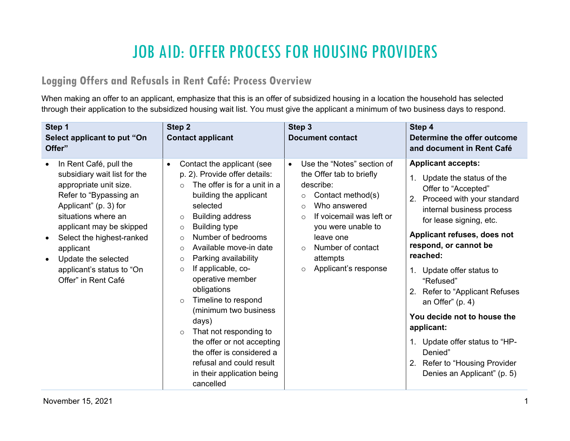# JOB AID: OFFER PROCESS FOR HOUSING PROVIDERS

#### **Logging Offers and Refusals in Rent Café: Process Overview**

When making an offer to an applicant, emphasize that this is an offer of subsidized housing in a location the household has selected through their application to the subsidized housing wait list. You must give the applicant a minimum of two business days to respond.

| Step 1<br>Select applicant to put "On<br>Offer"                                                                                                                                                                                                                                                                                                    | Step 2<br><b>Contact applicant</b>                                                                                                                                                                                                                                                                                                                                                                                                                                                                                                                                                                                                                         | Step 3<br><b>Document contact</b>                                                                                                                                                                                                                                                                        | Step 4<br>Determine the offer outcome<br>and document in Rent Café                                                                                                                                                                                                                                                                                                                                                                                                                                                 |
|----------------------------------------------------------------------------------------------------------------------------------------------------------------------------------------------------------------------------------------------------------------------------------------------------------------------------------------------------|------------------------------------------------------------------------------------------------------------------------------------------------------------------------------------------------------------------------------------------------------------------------------------------------------------------------------------------------------------------------------------------------------------------------------------------------------------------------------------------------------------------------------------------------------------------------------------------------------------------------------------------------------------|----------------------------------------------------------------------------------------------------------------------------------------------------------------------------------------------------------------------------------------------------------------------------------------------------------|--------------------------------------------------------------------------------------------------------------------------------------------------------------------------------------------------------------------------------------------------------------------------------------------------------------------------------------------------------------------------------------------------------------------------------------------------------------------------------------------------------------------|
| In Rent Café, pull the<br>$\bullet$<br>subsidiary wait list for the<br>appropriate unit size.<br>Refer to "Bypassing an<br>Applicant" (p. 3) for<br>situations where an<br>applicant may be skipped<br>Select the highest-ranked<br>$\bullet$<br>applicant<br>Update the selected<br>$\bullet$<br>applicant's status to "On<br>Offer" in Rent Café | Contact the applicant (see<br>$\bullet$<br>p. 2). Provide offer details:<br>The offer is for a unit in a<br>$\circ$<br>building the applicant<br>selected<br><b>Building address</b><br>$\circ$<br><b>Building type</b><br>$\circ$<br>Number of bedrooms<br>$\circ$<br>Available move-in date<br>$\circ$<br>Parking availability<br>$\circ$<br>If applicable, co-<br>$\circ$<br>operative member<br>obligations<br>Timeline to respond<br>$\circ$<br>(minimum two business<br>days)<br>That not responding to<br>$\circ$<br>the offer or not accepting<br>the offer is considered a<br>refusal and could result<br>in their application being<br>cancelled | Use the "Notes" section of<br>$\bullet$<br>the Offer tab to briefly<br>describe:<br>Contact method(s)<br>$\circ$<br>Who answered<br>$\circ$<br>If voicemail was left or<br>$\bigcirc$<br>you were unable to<br>leave one<br>Number of contact<br>$\Omega$<br>attempts<br>Applicant's response<br>$\circ$ | <b>Applicant accepts:</b><br>Update the status of the<br>Offer to "Accepted"<br>2. Proceed with your standard<br>internal business process<br>for lease signing, etc.<br>Applicant refuses, does not<br>respond, or cannot be<br>reached:<br>Update offer status to<br>$1_{\cdot}$<br>"Refused"<br>2. Refer to "Applicant Refuses"<br>an Offer" $(p. 4)$<br>You decide not to house the<br>applicant:<br>1. Update offer status to "HP-<br>Denied"<br>2. Refer to "Housing Provider<br>Denies an Applicant" (p. 5) |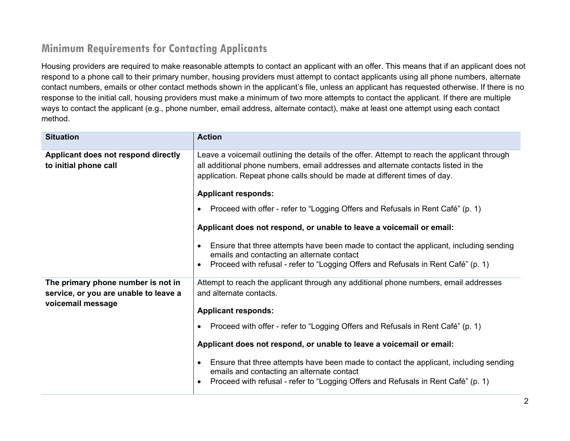## **Minimum Requirements for Contacting Applicants**

Housing providers are required to make reasonable attempts to contact an applicant with an offer. This means that if an applicant does not respond to a phone call to their primary number, housing providers must attempt to contact applicants using all phone numbers, alternate contact numbers, emails or other contact methods shown in the applicant's file, unless an applicant has requested otherwise. If there is no response to the initial call, housing providers must make a minimum of two more attempts to contact the applicant. If there are multiple ways to contact the applicant (e.g., phone number, email address, alternate contact), make at least one attempt using each contact method.

| <b>Situation</b>                                                                                 | <b>Action</b>                                                                                                                                                                                                                                                                                                                                                                                                                                                                                                                                                                                                                                                                                     |
|--------------------------------------------------------------------------------------------------|---------------------------------------------------------------------------------------------------------------------------------------------------------------------------------------------------------------------------------------------------------------------------------------------------------------------------------------------------------------------------------------------------------------------------------------------------------------------------------------------------------------------------------------------------------------------------------------------------------------------------------------------------------------------------------------------------|
| Applicant does not respond directly<br>to initial phone call                                     | Leave a voicemail outlining the details of the offer. Attempt to reach the applicant through<br>all additional phone numbers, email addresses and alternate contacts listed in the<br>application. Repeat phone calls should be made at different times of day.<br><b>Applicant responds:</b><br>Proceed with offer - refer to "Logging Offers and Refusals in Rent Café" (p. 1)<br>Applicant does not respond, or unable to leave a voicemail or email:<br>Ensure that three attempts have been made to contact the applicant, including sending<br>$\bullet$<br>emails and contacting an alternate contact<br>Proceed with refusal - refer to "Logging Offers and Refusals in Rent Café" (p. 1) |
| The primary phone number is not in<br>service, or you are unable to leave a<br>voicemail message | Attempt to reach the applicant through any additional phone numbers, email addresses<br>and alternate contacts.<br><b>Applicant responds:</b><br>Proceed with offer - refer to "Logging Offers and Refusals in Rent Café" (p. 1)<br>Applicant does not respond, or unable to leave a voicemail or email:<br>Ensure that three attempts have been made to contact the applicant, including sending<br>emails and contacting an alternate contact<br>Proceed with refusal - refer to "Logging Offers and Refusals in Rent Café" (p. 1)                                                                                                                                                              |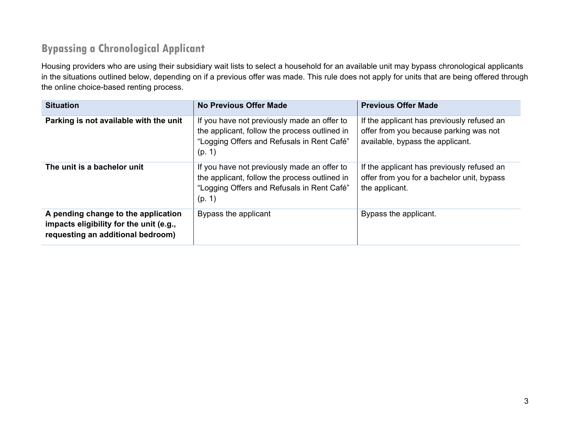# **Bypassing a Chronological Applicant**

Housing providers who are using their subsidiary wait lists to select a household for an available unit may bypass chronological applicants in the situations outlined below, depending on if a previous offer was made. This rule does not apply for units that are being offered through the online choice-based renting process.

| <b>Situation</b>                                                                                                    | <b>No Previous Offer Made</b>                                                                                                                        | <b>Previous Offer Made</b>                                                                                               |
|---------------------------------------------------------------------------------------------------------------------|------------------------------------------------------------------------------------------------------------------------------------------------------|--------------------------------------------------------------------------------------------------------------------------|
| Parking is not available with the unit                                                                              | If you have not previously made an offer to<br>the applicant, follow the process outlined in<br>"Logging Offers and Refusals in Rent Café"<br>(p. 1) | If the applicant has previously refused an<br>offer from you because parking was not<br>available, bypass the applicant. |
| The unit is a bachelor unit                                                                                         | If you have not previously made an offer to<br>the applicant, follow the process outlined in<br>"Logging Offers and Refusals in Rent Café"<br>(p. 1) | If the applicant has previously refused an<br>offer from you for a bachelor unit, bypass<br>the applicant.               |
| A pending change to the application<br>impacts eligibility for the unit (e.g.,<br>requesting an additional bedroom) | Bypass the applicant                                                                                                                                 | Bypass the applicant.                                                                                                    |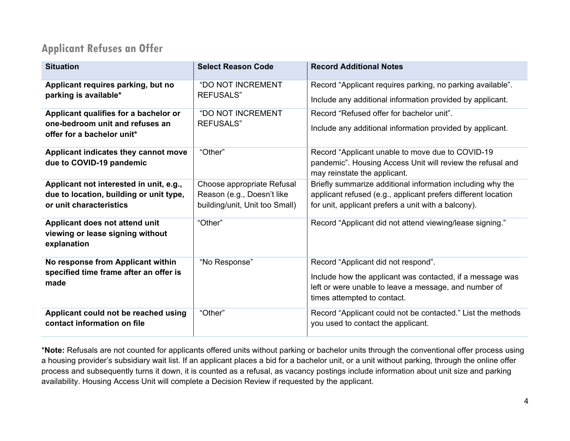### **Applicant Refuses an Offer**

| <b>Situation</b>                                                                  | <b>Select Reason Code</b>                                    | <b>Record Additional Notes</b>                                                                                                                 |
|-----------------------------------------------------------------------------------|--------------------------------------------------------------|------------------------------------------------------------------------------------------------------------------------------------------------|
| Applicant requires parking, but no<br>parking is available*                       | <b>"DO NOT INCREMENT</b><br><b>REFUSALS"</b>                 | Record "Applicant requires parking, no parking available".                                                                                     |
|                                                                                   |                                                              | Include any additional information provided by applicant.                                                                                      |
| Applicant qualifies for a bachelor or                                             | <b>"DO NOT INCREMENT</b>                                     | Record "Refused offer for bachelor unit".                                                                                                      |
| one-bedroom unit and refuses an<br>offer for a bachelor unit*                     | <b>REFUSALS"</b>                                             | Include any additional information provided by applicant.                                                                                      |
| Applicant indicates they cannot move<br>due to COVID-19 pandemic                  | "Other"                                                      | Record "Applicant unable to move due to COVID-19<br>pandemic". Housing Access Unit will review the refusal and<br>may reinstate the applicant. |
| Applicant not interested in unit, e.g.,                                           | Choose appropriate Refusal                                   | Briefly summarize additional information including why the                                                                                     |
| due to location, building or unit type,<br>or unit characteristics                | Reason (e.g., Doesn't like<br>building/unit, Unit too Small) | applicant refused (e.g., applicant prefers different location<br>for unit, applicant prefers a unit with a balcony).                           |
| Applicant does not attend unit<br>viewing or lease signing without<br>explanation | "Other"                                                      | Record "Applicant did not attend viewing/lease signing."                                                                                       |
| No response from Applicant within                                                 | "No Response"                                                | Record "Applicant did not respond".                                                                                                            |
| specified time frame after an offer is<br>made                                    |                                                              | Include how the applicant was contacted, if a message was                                                                                      |
|                                                                                   |                                                              | left or were unable to leave a message, and number of<br>times attempted to contact.                                                           |
| Applicant could not be reached using<br>contact information on file               | "Other"                                                      | Record "Applicant could not be contacted." List the methods<br>you used to contact the applicant.                                              |

\***Note:** Refusals are not counted for applicants offered units without parking or bachelor units through the conventional offer process using a housing provider's subsidiary wait list. If an applicant places a bid for a bachelor unit, or a unit without parking, through the online offer process and subsequently turns it down, it is counted as a refusal, as vacancy postings include information about unit size and parking availability. Housing Access Unit will complete a Decision Review if requested by the applicant.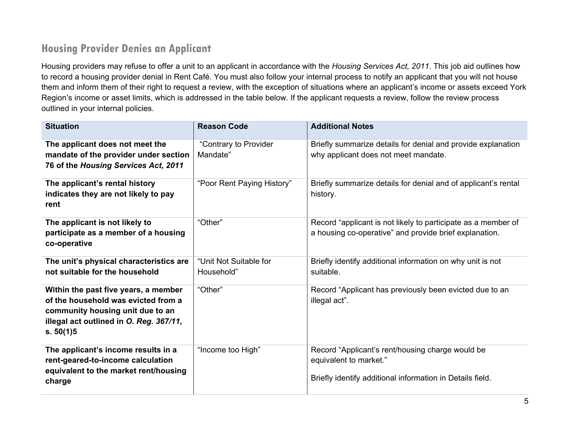### **Housing Provider Denies an Applicant**

Housing providers may refuse to offer a unit to an applicant in accordance with the *Housing Services Act, 2011*. This job aid outlines how to record a housing provider denial in Rent Café. You must also follow your internal process to notify an applicant that you will not house them and inform them of their right to request a review, with the exception of situations where an applicant's income or assets exceed York Region's income or asset limits, which is addressed in the table below. If the applicant requests a review, follow the review process outlined in your internal policies.

| <b>Situation</b>                                                                                                                                                        | <b>Reason Code</b>                   | <b>Additional Notes</b>                                                                                                                 |
|-------------------------------------------------------------------------------------------------------------------------------------------------------------------------|--------------------------------------|-----------------------------------------------------------------------------------------------------------------------------------------|
| The applicant does not meet the<br>mandate of the provider under section<br>76 of the Housing Services Act, 2011                                                        | "Contrary to Provider<br>Mandate"    | Briefly summarize details for denial and provide explanation<br>why applicant does not meet mandate.                                    |
| The applicant's rental history<br>indicates they are not likely to pay<br>rent                                                                                          | "Poor Rent Paying History"           | Briefly summarize details for denial and of applicant's rental<br>history.                                                              |
| The applicant is not likely to<br>participate as a member of a housing<br>co-operative                                                                                  | "Other"                              | Record "applicant is not likely to participate as a member of<br>a housing co-operative" and provide brief explanation.                 |
| The unit's physical characteristics are<br>not suitable for the household                                                                                               | "Unit Not Suitable for<br>Household" | Briefly identify additional information on why unit is not<br>suitable.                                                                 |
| Within the past five years, a member<br>of the household was evicted from a<br>community housing unit due to an<br>illegal act outlined in O. Reg. 367/11,<br>s. 50(1)5 | "Other"                              | Record "Applicant has previously been evicted due to an<br>illegal act".                                                                |
| The applicant's income results in a<br>rent-geared-to-income calculation<br>equivalent to the market rent/housing<br>charge                                             | "Income too High"                    | Record "Applicant's rent/housing charge would be<br>equivalent to market."<br>Briefly identify additional information in Details field. |